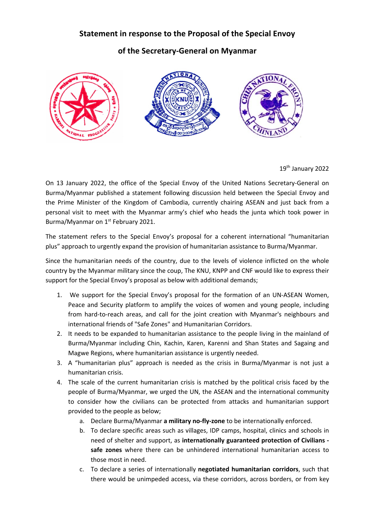## **Statement in response to the Proposal of the Special Envoy**

## **of the Secretary-General on Myanmar**



19th January 2022

On 13 January 2022, the office of the Special Envoy of the United Nations Secretary-General on Burma/Myanmar published a statement following discussion held between the Special Envoy and the Prime Minister of the Kingdom of Cambodia, currently chairing ASEAN and just back from a personal visit to meet with the Myanmar army's chief who heads the junta which took power in Burma/Myanmar on 1<sup>st</sup> February 2021.

The statement refers to the Special Envoy's proposal for a coherent international "humanitarian plus" approach to urgently expand the provision of humanitarian assistance to Burma/Myanmar.

Since the humanitarian needs of the country, due to the levels of violence inflicted on the whole country by the Myanmar military since the coup, The KNU, KNPP and CNF would like to express their support for the Special Envoy's proposal as below with additional demands;

- 1. We support for the Special Envoy's proposal for the formation of an UN-ASEAN Women, Peace and Security platform to amplify the voices of women and young people, including from hard-to-reach areas, and call for the joint creation with Myanmar's neighbours and international friends of "Safe Zones" and Humanitarian Corridors.
- 2. It needs to be expanded to humanitarian assistance to the people living in the mainland of Burma/Myanmar including Chin, Kachin, Karen, Karenni and Shan States and Sagaing and Magwe Regions, where humanitarian assistance is urgently needed.
- 3. A "humanitarian plus" approach is needed as the crisis in Burma/Myanmar is not just a humanitarian crisis.
- 4. The scale of the current humanitarian crisis is matched by the political crisis faced by the people of Burma/Myanmar, we urged the UN, the ASEAN and the international community to consider how the civilians can be protected from attacks and humanitarian support provided to the people as below;
	- a. Declare Burma/Myanmar **a military no-fly-zone** to be internationally enforced.
	- b. To declare specific areas such as villages, IDP camps, hospital, clinics and schools in need of shelter and support, as **internationally guaranteed protection of Civilians safe zones** where there can be unhindered international humanitarian access to those most in need.
	- c. To declare a series of internationally **negotiated humanitarian corridors**, such that there would be unimpeded access, via these corridors, across borders, or from key